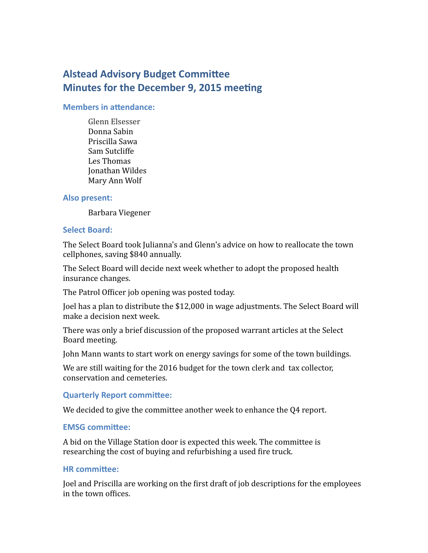# **Alstead Advisory Budget Committee Minutes for the December 9, 2015 meeting**

#### **Members in attendance:**

Glenn Elsesser Donna Sabin Priscilla Sawa Sam Sutcliffe Les Thomas Jonathan Wildes Mary Ann Wolf

#### **Also present:**

Barbara Viegener

#### **Select Board:**

The Select Board took Julianna's and Glenn's advice on how to reallocate the town cellphones, saving \$840 annually.

The Select Board will decide next week whether to adopt the proposed health insurance changes.

The Patrol Officer job opening was posted today.

Joel has a plan to distribute the \$12,000 in wage adjustments. The Select Board will make a decision next week.

There was only a brief discussion of the proposed warrant articles at the Select Board meeting.

John Mann wants to start work on energy savings for some of the town buildings.

We are still waiting for the 2016 budget for the town clerk and tax collector, conservation and cemeteries.

#### **Quarterly Report committee:**

We decided to give the committee another week to enhance the Q4 report.

#### **EMSG committee:**

A bid on the Village Station door is expected this week. The committee is researching the cost of buying and refurbishing a used fire truck.

#### **HR committee:**

Joel and Priscilla are working on the first draft of job descriptions for the employees in the town offices.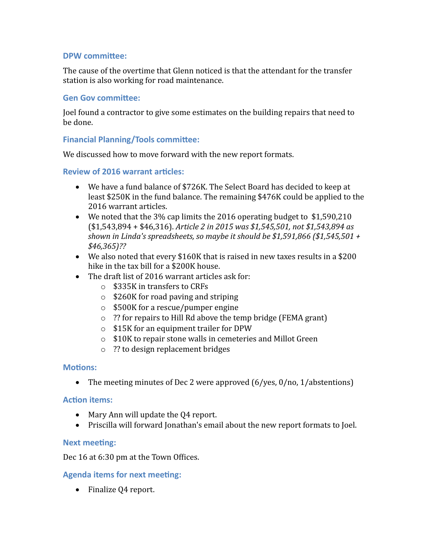## **DPW committee:**

The cause of the overtime that Glenn noticed is that the attendant for the transfer station is also working for road maintenance.

## **Gen Gov committee:**

Joel found a contractor to give some estimates on the building repairs that need to be done.

## **Financial Planning/Tools committee:**

We discussed how to move forward with the new report formats.

## **Review of 2016 warrant articles:**

- We have a fund balance of \$726K. The Select Board has decided to keep at least \$250K in the fund balance. The remaining \$476K could be applied to the 2016 warrant articles.
- We noted that the 3% cap limits the 2016 operating budget to \$1,590,210 (\$1,543,894 + \$46,316). *Article 2 in 2015 was \$1,545,501, not \$1,543,894 as shown in Linda's spreadsheets, so maybe it should be \$1,591,866 (\$1,545,501 + \$46,365)??*
- We also noted that every \$160K that is raised in new taxes results in a \$200 hike in the tax bill for a \$200K house.
- The draft list of 2016 warrant articles ask for:
	- o \$335K in transfers to CRFs
	- o \$260K for road paving and striping
	- o \$500K for a rescue/pumper engine
	- o ?? for repairs to Hill Rd above the temp bridge (FEMA grant)
	- o \$15K for an equipment trailer for DPW
	- o \$10K to repair stone walls in cemeteries and Millot Green
	- o ?? to design replacement bridges

## **Motions:**

• The meeting minutes of Dec 2 were approved (6/yes, 0/no, 1/abstentions)

#### **Action items:**

- Mary Ann will update the Q4 report.
- Priscilla will forward Jonathan's email about the new report formats to Joel.

## **Next meeting:**

Dec 16 at 6:30 pm at the Town Offices.

## **Agenda items for next meeting:**

• Finalize Q4 report.